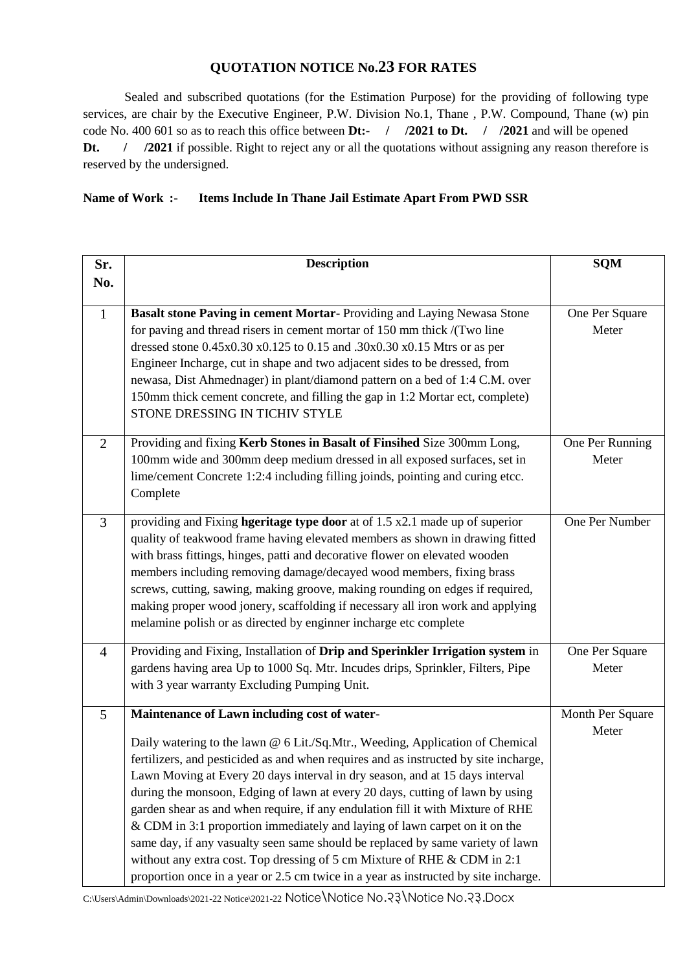## **QUOTATION NOTICE No.23 FOR RATES**

Sealed and subscribed quotations (for the Estimation Purpose) for the providing of following type services, are chair by the Executive Engineer, P.W. Division No.1, Thane , P.W. Compound, Thane (w) pin code No. 400 601 so as to reach this office between **Dt:- / /2021 to Dt. / /2021** and will be opened **Dt.** / **/2021** if possible. Right to reject any or all the quotations without assigning any reason therefore is reserved by the undersigned.

## **Name of Work :- Items Include In Thane Jail Estimate Apart From PWD SSR**

| Sr.            | <b>Description</b>                                                                                                                                                                                                                                                                                                                                                                                                                                                                                                                                                                                                                                                                                                                                                                                           | <b>SQM</b>                |
|----------------|--------------------------------------------------------------------------------------------------------------------------------------------------------------------------------------------------------------------------------------------------------------------------------------------------------------------------------------------------------------------------------------------------------------------------------------------------------------------------------------------------------------------------------------------------------------------------------------------------------------------------------------------------------------------------------------------------------------------------------------------------------------------------------------------------------------|---------------------------|
| No.            |                                                                                                                                                                                                                                                                                                                                                                                                                                                                                                                                                                                                                                                                                                                                                                                                              |                           |
| $\mathbf{1}$   | Basalt stone Paving in cement Mortar-Providing and Laying Newasa Stone<br>for paving and thread risers in cement mortar of 150 mm thick /(Two line<br>dressed stone 0.45x0.30 x0.125 to 0.15 and .30x0.30 x0.15 Mtrs or as per<br>Engineer Incharge, cut in shape and two adjacent sides to be dressed, from<br>newasa, Dist Ahmednager) in plant/diamond pattern on a bed of 1:4 C.M. over<br>150mm thick cement concrete, and filling the gap in 1:2 Mortar ect, complete)<br>STONE DRESSING IN TICHIV STYLE                                                                                                                                                                                                                                                                                               | One Per Square<br>Meter   |
| $\overline{2}$ | Providing and fixing Kerb Stones in Basalt of Finsihed Size 300mm Long,<br>100mm wide and 300mm deep medium dressed in all exposed surfaces, set in<br>lime/cement Concrete 1:2:4 including filling joinds, pointing and curing etcc.<br>Complete                                                                                                                                                                                                                                                                                                                                                                                                                                                                                                                                                            | One Per Running<br>Meter  |
| 3              | providing and Fixing <b>hgeritage type door</b> at of 1.5 x2.1 made up of superior<br>quality of teakwood frame having elevated members as shown in drawing fitted<br>with brass fittings, hinges, patti and decorative flower on elevated wooden<br>members including removing damage/decayed wood members, fixing brass<br>screws, cutting, sawing, making groove, making rounding on edges if required,<br>making proper wood jonery, scaffolding if necessary all iron work and applying<br>melamine polish or as directed by enginner incharge etc complete                                                                                                                                                                                                                                             | One Per Number            |
| $\overline{4}$ | Providing and Fixing, Installation of Drip and Sperinkler Irrigation system in<br>gardens having area Up to 1000 Sq. Mtr. Incudes drips, Sprinkler, Filters, Pipe<br>with 3 year warranty Excluding Pumping Unit.                                                                                                                                                                                                                                                                                                                                                                                                                                                                                                                                                                                            | One Per Square<br>Meter   |
| 5              | Maintenance of Lawn including cost of water-<br>Daily watering to the lawn @ 6 Lit./Sq.Mtr., Weeding, Application of Chemical<br>fertilizers, and pesticided as and when requires and as instructed by site incharge,<br>Lawn Moving at Every 20 days interval in dry season, and at 15 days interval<br>during the monsoon, Edging of lawn at every 20 days, cutting of lawn by using<br>garden shear as and when require, if any endulation fill it with Mixture of RHE<br>& CDM in 3:1 proportion immediately and laying of lawn carpet on it on the<br>same day, if any vasualty seen same should be replaced by same variety of lawn<br>without any extra cost. Top dressing of 5 cm Mixture of RHE & CDM in 2:1<br>proportion once in a year or 2.5 cm twice in a year as instructed by site incharge. | Month Per Square<br>Meter |

C:\Users\Admin\Downloads\2021-22 Notice\2021-22 Notice\Notice No.23\Notice No.23.Docx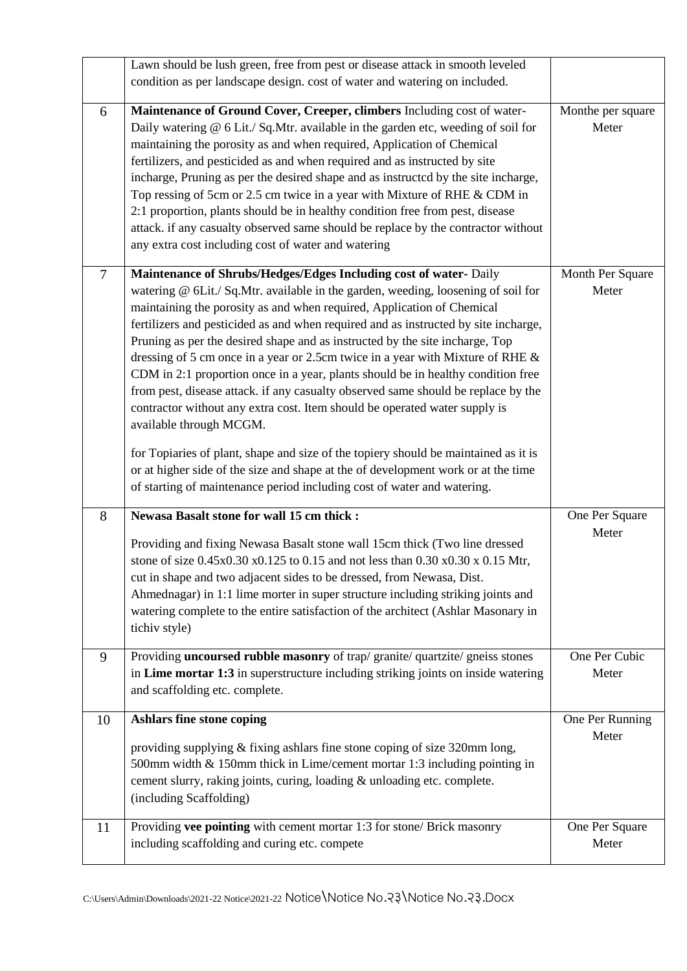|                | Lawn should be lush green, free from pest or disease attack in smooth leveled                                                                                                                                                                                                                                                                                                                                                                                                                                                                                                                                                                                                                                                                                                                                                                                                                                                                                                                                                      |                            |
|----------------|------------------------------------------------------------------------------------------------------------------------------------------------------------------------------------------------------------------------------------------------------------------------------------------------------------------------------------------------------------------------------------------------------------------------------------------------------------------------------------------------------------------------------------------------------------------------------------------------------------------------------------------------------------------------------------------------------------------------------------------------------------------------------------------------------------------------------------------------------------------------------------------------------------------------------------------------------------------------------------------------------------------------------------|----------------------------|
|                | condition as per landscape design. cost of water and watering on included.                                                                                                                                                                                                                                                                                                                                                                                                                                                                                                                                                                                                                                                                                                                                                                                                                                                                                                                                                         |                            |
| 6              | Maintenance of Ground Cover, Creeper, climbers Including cost of water-<br>Daily watering @ 6 Lit./ Sq.Mtr. available in the garden etc, weeding of soil for<br>maintaining the porosity as and when required, Application of Chemical<br>fertilizers, and pesticided as and when required and as instructed by site<br>incharge, Pruning as per the desired shape and as instructed by the site incharge,<br>Top ressing of 5cm or 2.5 cm twice in a year with Mixture of RHE & CDM in<br>2:1 proportion, plants should be in healthy condition free from pest, disease<br>attack. if any casualty observed same should be replace by the contractor without<br>any extra cost including cost of water and watering                                                                                                                                                                                                                                                                                                               | Monthe per square<br>Meter |
| $\overline{7}$ | Maintenance of Shrubs/Hedges/Edges Including cost of water- Daily<br>watering @ 6Lit./ Sq.Mtr. available in the garden, weeding, loosening of soil for<br>maintaining the porosity as and when required, Application of Chemical<br>fertilizers and pesticided as and when required and as instructed by site incharge,<br>Pruning as per the desired shape and as instructed by the site incharge, Top<br>dressing of 5 cm once in a year or 2.5cm twice in a year with Mixture of RHE &<br>CDM in 2:1 proportion once in a year, plants should be in healthy condition free<br>from pest, disease attack. if any casualty observed same should be replace by the<br>contractor without any extra cost. Item should be operated water supply is<br>available through MCGM.<br>for Topiaries of plant, shape and size of the topiery should be maintained as it is<br>or at higher side of the size and shape at the of development work or at the time<br>of starting of maintenance period including cost of water and watering. | Month Per Square<br>Meter  |
| 8              | Newasa Basalt stone for wall 15 cm thick :<br>Providing and fixing Newasa Basalt stone wall 15cm thick (Two line dressed<br>stone of size 0.45x0.30 x0.125 to 0.15 and not less than 0.30 x0.30 x 0.15 Mtr,<br>cut in shape and two adjacent sides to be dressed, from Newasa, Dist.<br>Ahmednagar) in 1:1 lime morter in super structure including striking joints and<br>watering complete to the entire satisfaction of the architect (Ashlar Masonary in<br>tichiv style)                                                                                                                                                                                                                                                                                                                                                                                                                                                                                                                                                      | One Per Square<br>Meter    |
| 9              | Providing uncoursed rubble masonry of trap/ granite/ quartzite/ gneiss stones<br>in Lime mortar 1:3 in superstructure including striking joints on inside watering<br>and scaffolding etc. complete.                                                                                                                                                                                                                                                                                                                                                                                                                                                                                                                                                                                                                                                                                                                                                                                                                               | One Per Cubic<br>Meter     |
| 10             | Ashlars fine stone coping<br>providing supplying & fixing ashlars fine stone coping of size 320mm long,<br>500mm width & 150mm thick in Lime/cement mortar 1:3 including pointing in<br>cement slurry, raking joints, curing, loading & unloading etc. complete.<br>(including Scaffolding)                                                                                                                                                                                                                                                                                                                                                                                                                                                                                                                                                                                                                                                                                                                                        | One Per Running<br>Meter   |
| 11             | Providing vee pointing with cement mortar 1:3 for stone/ Brick masonry<br>including scaffolding and curing etc. compete                                                                                                                                                                                                                                                                                                                                                                                                                                                                                                                                                                                                                                                                                                                                                                                                                                                                                                            | One Per Square<br>Meter    |